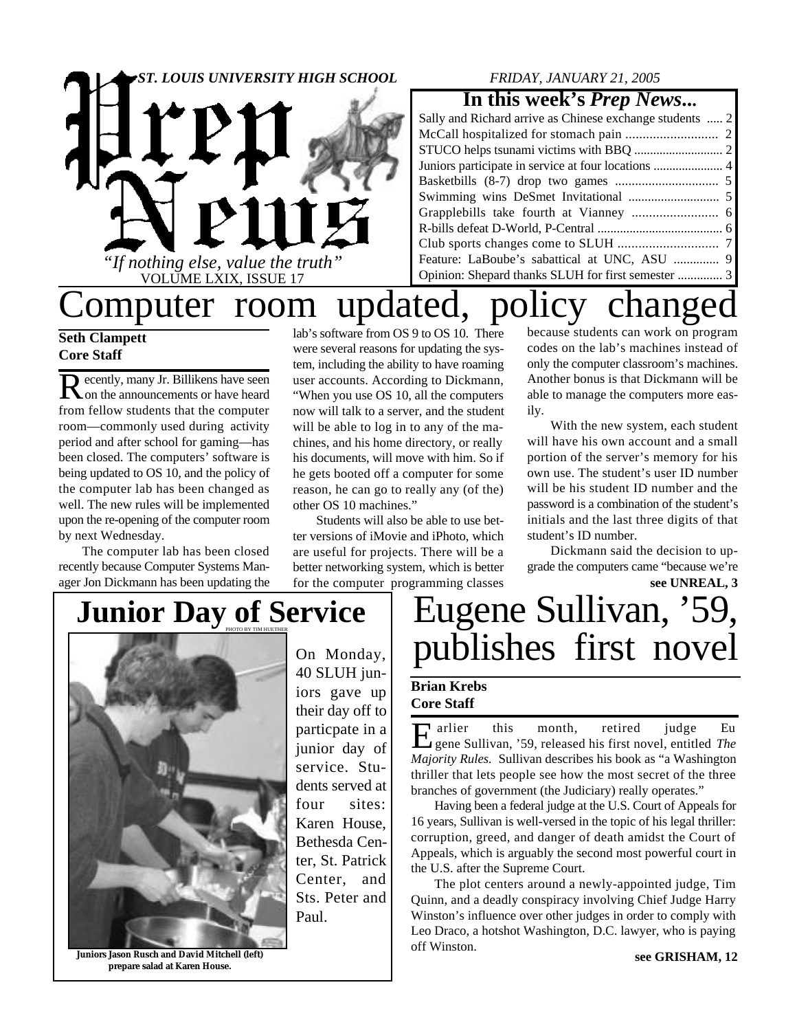

### *FRIDAY, JANUARY 21, 2005*

### **In this week's** *Prep News***...**

| Sally and Richard arrive as Chinese exchange students  2 |  |
|----------------------------------------------------------|--|
|                                                          |  |
|                                                          |  |
|                                                          |  |
|                                                          |  |
|                                                          |  |
|                                                          |  |
|                                                          |  |
|                                                          |  |
| Feature: LaBoube's sabattical at UNC, ASU  9             |  |
| Opinion: Shepard thanks SLUH for first semester  3       |  |

# Computer room updated, policy changed

### **Seth Clampett Core Staff**

Recently, many Jr. Billikens have seen<br>
on the announcements or have heard on the announcements or have heard from fellow students that the computer room—commonly used during activity period and after school for gaming—has been closed. The computers' software is being updated to OS 10, and the policy of the computer lab has been changed as well. The new rules will be implemented upon the re-opening of the computer room by next Wednesday.

The computer lab has been closed recently because Computer Systems Manager Jon Dickmann has been updating the

lab's software from OS 9 to OS 10. There were several reasons for updating the system, including the ability to have roaming user accounts. According to Dickmann, "When you use OS 10, all the computers now will talk to a server, and the student will be able to log in to any of the machines, and his home directory, or really his documents, will move with him. So if he gets booted off a computer for some reason, he can go to really any (of the) other OS 10 machines."

Students will also be able to use better versions of iMovie and iPhoto, which are useful for projects. There will be a better networking system, which is better for the computer programming classes

because students can work on program codes on the lab's machines instead of only the computer classroom's machines. Another bonus is that Dickmann will be able to manage the computers more easily.

With the new system, each student will have his own account and a small portion of the server's memory for his own use. The student's user ID number will be his student ID number and the password is a combination of the student's initials and the last three digits of that student's ID number.

**see UNREAL, 3** Dickmann said the decision to upgrade the computers came "because we're

# **Junior Day of Service**



On Monday, 40 SLUH juniors gave up their day off to particpate in a junior day of service. Students served at four sites: Karen House, Bethesda Center, St. Patrick Center, and Sts. Peter and Paul.

# Eugene Sullivan, '59, publishes first novel

#### **Brian Krebs Core Staff**

Expansive this month, retired judge Eugene Sullivan, '59, released his first novel, entitled The gene Sullivan, '59, released his first novel, entitled *The Majority Rules.* Sullivan describes his book as "a Washington thriller that lets people see how the most secret of the three branches of government (the Judiciary) really operates."

Having been a federal judge at the U.S. Court of Appeals for 16 years, Sullivan is well-versed in the topic of his legal thriller: corruption, greed, and danger of death amidst the Court of Appeals, which is arguably the second most powerful court in the U.S. after the Supreme Court.

The plot centers around a newly-appointed judge, Tim Quinn, and a deadly conspiracy involving Chief Judge Harry Winston's influence over other judges in order to comply with Leo Draco, a hotshot Washington, D.C. lawyer, who is paying off Winston.

**Juniors Jason Rusch and David Mitchell (left) prepare salad at Karen House.**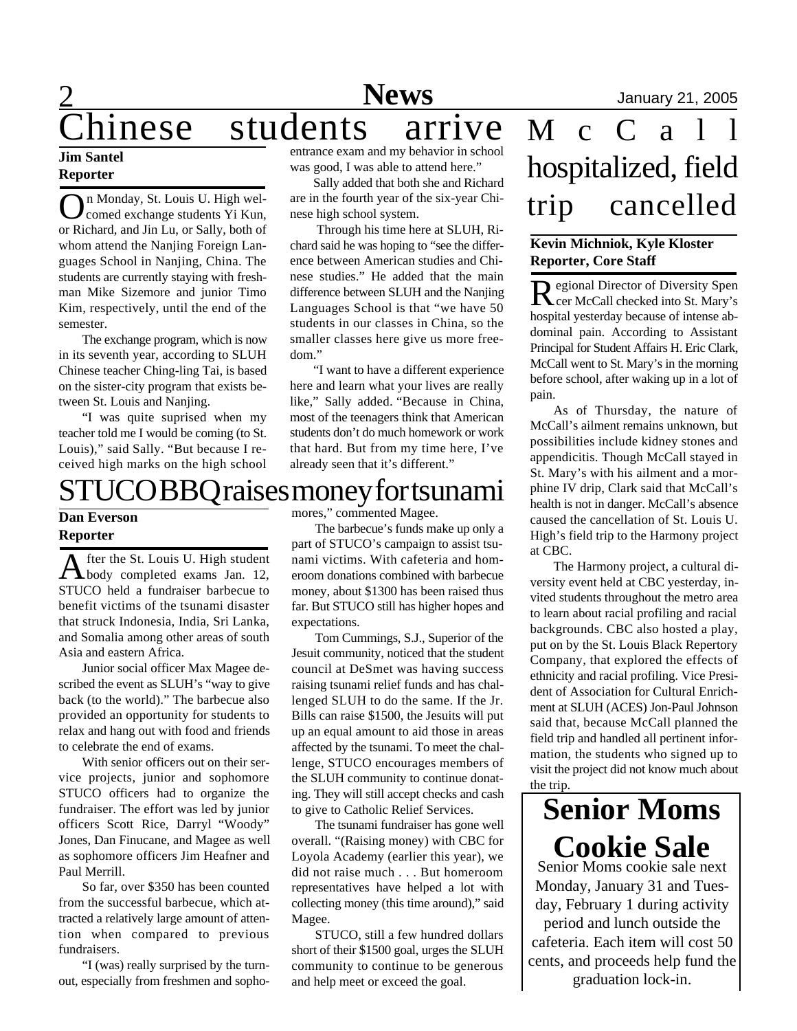### **Jim Santel Reporter**

2

O n Monday, St. Louis U. High welcomed exchange students Yi Kun, or Richard, and Jin Lu, or Sally, both of whom attend the Nanjing Foreign Languages School in Nanjing, China. The students are currently staying with freshman Mike Sizemore and junior Timo Kim, respectively, until the end of the semester.

The exchange program, which is now in its seventh year, according to SLUH Chinese teacher Ching-ling Tai, is based on the sister-city program that exists between St. Louis and Nanjing.

"I was quite suprised when my teacher told me I would be coming (to St. Louis)," said Sally. "But because I received high marks on the high school

entrance exam and my behavior in school was good, I was able to attend here."

Sally added that both she and Richard are in the fourth year of the six-year Chinese high school system.

 Through his time here at SLUH, Richard said he was hoping to "see the difference between American studies and Chinese studies." He added that the main difference between SLUH and the Nanjing Languages School is that "we have 50 students in our classes in China, so the smaller classes here give us more freedom."

"I want to have a different experience here and learn what your lives are really like," Sally added. "Because in China, most of the teenagers think that American students don't do much homework or work that hard. But from my time here, I've already seen that it's different."

### OBBQ raises money for tsunami

#### **Dan Everson Reporter**

A fter the St. Louis U. High student<br>body completed exams Jan. 12, fter the St. Louis U. High student STUCO held a fundraiser barbecue to benefit victims of the tsunami disaster that struck Indonesia, India, Sri Lanka, and Somalia among other areas of south Asia and eastern Africa.

Junior social officer Max Magee described the event as SLUH's "way to give back (to the world)." The barbecue also provided an opportunity for students to relax and hang out with food and friends to celebrate the end of exams.

With senior officers out on their service projects, junior and sophomore STUCO officers had to organize the fundraiser. The effort was led by junior officers Scott Rice, Darryl "Woody" Jones, Dan Finucane, and Magee as well as sophomore officers Jim Heafner and Paul Merrill.

So far, over \$350 has been counted from the successful barbecue, which attracted a relatively large amount of attention when compared to previous fundraisers.

"I (was) really surprised by the turnout, especially from freshmen and sophomores," commented Magee.

The barbecue's funds make up only a part of STUCO's campaign to assist tsunami victims. With cafeteria and homeroom donations combined with barbecue money, about \$1300 has been raised thus far. But STUCO still has higher hopes and expectations.

Tom Cummings, S.J., Superior of the Jesuit community, noticed that the student council at DeSmet was having success raising tsunami relief funds and has challenged SLUH to do the same. If the Jr. Bills can raise \$1500, the Jesuits will put up an equal amount to aid those in areas affected by the tsunami. To meet the challenge, STUCO encourages members of the SLUH community to continue donating. They will still accept checks and cash to give to Catholic Relief Services.

The tsunami fundraiser has gone well overall. "(Raising money) with CBC for Loyola Academy (earlier this year), we did not raise much . . . But homeroom representatives have helped a lot with collecting money (this time around)," said Magee.

STUCO, still a few hundred dollars short of their \$1500 goal, urges the SLUH community to continue to be generous and help meet or exceed the goal.

# hinese students arrive M c C a hospitalized, field trip cancelled

### **Kevin Michniok, Kyle Kloster Reporter, Core Staff**

Regional Director of Diversity Spen cer McCall checked into St. Mary's hospital yesterday because of intense abdominal pain. According to Assistant Principal for Student Affairs H. Eric Clark, McCall went to St. Mary's in the morning before school, after waking up in a lot of pain.

As of Thursday, the nature of McCall's ailment remains unknown, but possibilities include kidney stones and appendicitis. Though McCall stayed in St. Mary's with his ailment and a morphine IV drip, Clark said that McCall's health is not in danger. McCall's absence caused the cancellation of St. Louis U. High's field trip to the Harmony project at CBC.

The Harmony project, a cultural diversity event held at CBC yesterday, invited students throughout the metro area to learn about racial profiling and racial backgrounds. CBC also hosted a play, put on by the St. Louis Black Repertory Company, that explored the effects of ethnicity and racial profiling. Vice President of Association for Cultural Enrichment at SLUH (ACES) Jon-Paul Johnson said that, because McCall planned the field trip and handled all pertinent information, the students who signed up to visit the project did not know much about the trip.

Senior Moms cookie sale next Monday, January 31 and Tuesday, February 1 during activity period and lunch outside the cafeteria. Each item will cost 50 cents, and proceeds help fund the graduation lock-in. **Senior Moms Cookie Sale**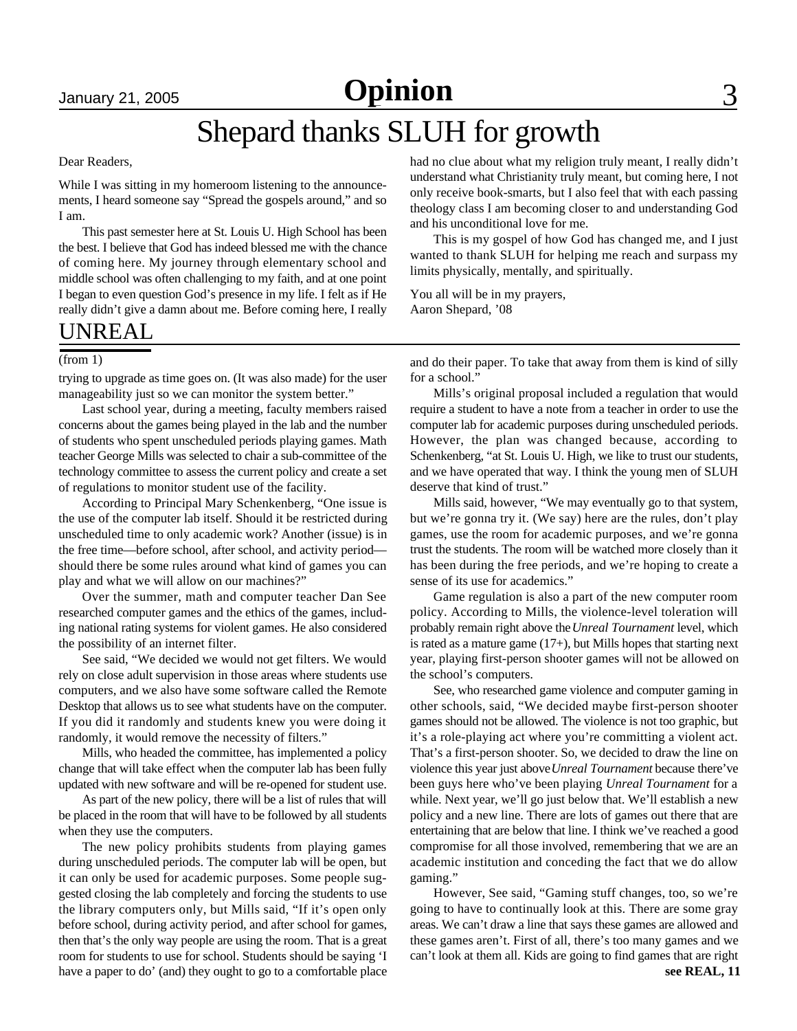January 21, 2005 **Opinion** 3

## Shepard thanks SLUH for growth

#### Dear Readers,

While I was sitting in my homeroom listening to the announcements, I heard someone say "Spread the gospels around," and so I am.

This past semester here at St. Louis U. High School has been the best. I believe that God has indeed blessed me with the chance of coming here. My journey through elementary school and middle school was often challenging to my faith, and at one point I began to even question God's presence in my life. I felt as if He really didn't give a damn about me. Before coming here, I really

### UNREAL

#### (from 1)

trying to upgrade as time goes on. (It was also made) for the user manageability just so we can monitor the system better."

Last school year, during a meeting, faculty members raised concerns about the games being played in the lab and the number of students who spent unscheduled periods playing games. Math teacher George Mills was selected to chair a sub-committee of the technology committee to assess the current policy and create a set of regulations to monitor student use of the facility.

According to Principal Mary Schenkenberg, "One issue is the use of the computer lab itself. Should it be restricted during unscheduled time to only academic work? Another (issue) is in the free time—before school, after school, and activity period should there be some rules around what kind of games you can play and what we will allow on our machines?"

Over the summer, math and computer teacher Dan See researched computer games and the ethics of the games, including national rating systems for violent games. He also considered the possibility of an internet filter.

See said, "We decided we would not get filters. We would rely on close adult supervision in those areas where students use computers, and we also have some software called the Remote Desktop that allows us to see what students have on the computer. If you did it randomly and students knew you were doing it randomly, it would remove the necessity of filters."

Mills, who headed the committee, has implemented a policy change that will take effect when the computer lab has been fully updated with new software and will be re-opened for student use.

As part of the new policy, there will be a list of rules that will be placed in the room that will have to be followed by all students when they use the computers.

The new policy prohibits students from playing games during unscheduled periods. The computer lab will be open, but it can only be used for academic purposes. Some people suggested closing the lab completely and forcing the students to use the library computers only, but Mills said, "If it's open only before school, during activity period, and after school for games, then that's the only way people are using the room. That is a great room for students to use for school. Students should be saying 'I have a paper to do' (and) they ought to go to a comfortable place had no clue about what my religion truly meant, I really didn't understand what Christianity truly meant, but coming here, I not only receive book-smarts, but I also feel that with each passing theology class I am becoming closer to and understanding God and his unconditional love for me.

This is my gospel of how God has changed me, and I just wanted to thank SLUH for helping me reach and surpass my limits physically, mentally, and spiritually.

You all will be in my prayers, Aaron Shepard, '08

and do their paper. To take that away from them is kind of silly for a school."

Mills's original proposal included a regulation that would require a student to have a note from a teacher in order to use the computer lab for academic purposes during unscheduled periods. However, the plan was changed because, according to Schenkenberg, "at St. Louis U. High, we like to trust our students, and we have operated that way. I think the young men of SLUH deserve that kind of trust."

Mills said, however, "We may eventually go to that system, but we're gonna try it. (We say) here are the rules, don't play games, use the room for academic purposes, and we're gonna trust the students. The room will be watched more closely than it has been during the free periods, and we're hoping to create a sense of its use for academics."

Game regulation is also a part of the new computer room policy. According to Mills, the violence-level toleration will probably remain right above the *Unreal Tournament* level, which is rated as a mature game (17+), but Mills hopes that starting next year, playing first-person shooter games will not be allowed on the school's computers.

See, who researched game violence and computer gaming in other schools, said, "We decided maybe first-person shooter games should not be allowed. The violence is not too graphic, but it's a role-playing act where you're committing a violent act. That's a first-person shooter. So, we decided to draw the line on violence this year just above *Unreal Tournament* because there've been guys here who've been playing *Unreal Tournament* for a while. Next year, we'll go just below that. We'll establish a new policy and a new line. There are lots of games out there that are entertaining that are below that line. I think we've reached a good compromise for all those involved, remembering that we are an academic institution and conceding the fact that we do allow gaming."

However, See said, "Gaming stuff changes, too, so we're going to have to continually look at this. There are some gray areas. We can't draw a line that says these games are allowed and these games aren't. First of all, there's too many games and we can't look at them all. Kids are going to find games that are right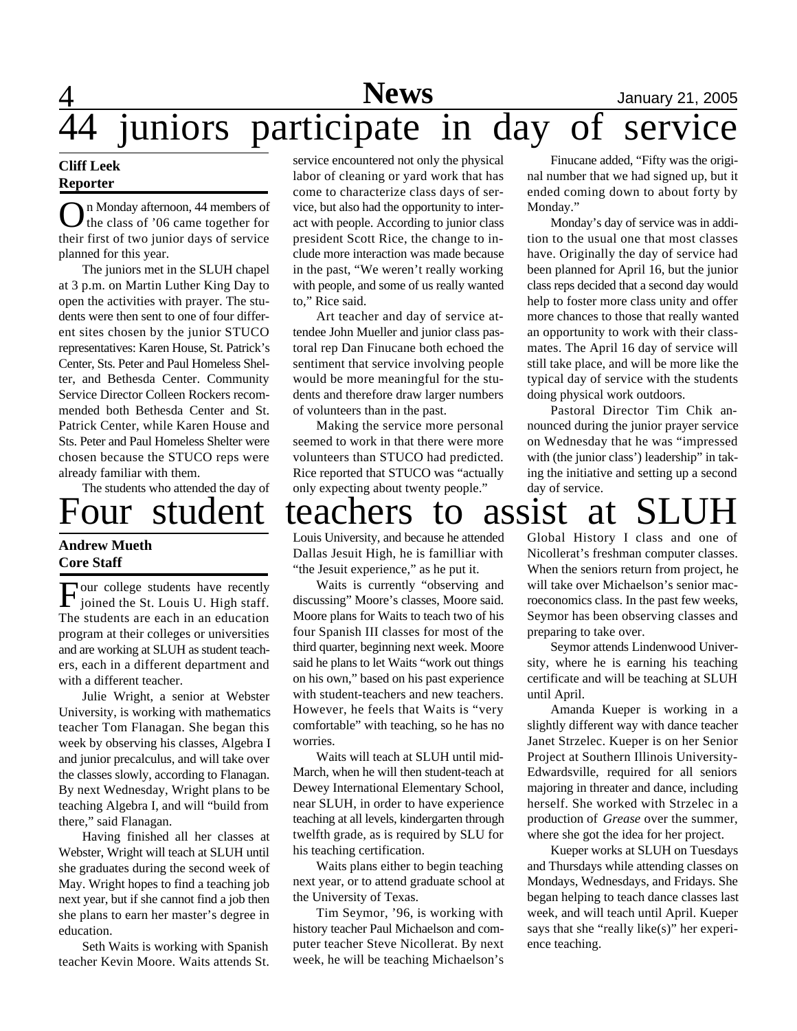### $\overline{4}$ **News** January 21, 2005<br> **Sparts OXE IN CALC OXE Service** juniors participate in day of service

#### **Cliff Leek Reporter**

On Monday afternoon, 44 members of<br>the class of '06 came together for n Monday afternoon, 44 members of their first of two junior days of service planned for this year.

The juniors met in the SLUH chapel at 3 p.m. on Martin Luther King Day to open the activities with prayer. The students were then sent to one of four different sites chosen by the junior STUCO representatives: Karen House, St. Patrick's Center, Sts. Peter and Paul Homeless Shelter, and Bethesda Center. Community Service Director Colleen Rockers recommended both Bethesda Center and St. Patrick Center, while Karen House and Sts. Peter and Paul Homeless Shelter were chosen because the STUCO reps were already familiar with them.

The students who attended the day of

### **Andrew Mueth Core Staff**

Four college students have recently<br>joined the St. Louis U. High staff. Four college students have recently The students are each in an education program at their colleges or universities and are working at SLUH as student teachers, each in a different department and with a different teacher.

Julie Wright, a senior at Webster University, is working with mathematics teacher Tom Flanagan. She began this week by observing his classes, Algebra I and junior precalculus, and will take over the classes slowly, according to Flanagan. By next Wednesday, Wright plans to be teaching Algebra I, and will "build from there," said Flanagan.

Having finished all her classes at Webster, Wright will teach at SLUH until she graduates during the second week of May. Wright hopes to find a teaching job next year, but if she cannot find a job then she plans to earn her master's degree in education.

Seth Waits is working with Spanish teacher Kevin Moore. Waits attends St.

service encountered not only the physical labor of cleaning or yard work that has come to characterize class days of service, but also had the opportunity to interact with people. According to junior class president Scott Rice, the change to include more interaction was made because in the past, "We weren't really working with people, and some of us really wanted to," Rice said.

Art teacher and day of service attendee John Mueller and junior class pastoral rep Dan Finucane both echoed the sentiment that service involving people would be more meaningful for the students and therefore draw larger numbers of volunteers than in the past.

Making the service more personal seemed to work in that there were more volunteers than STUCO had predicted. Rice reported that STUCO was "actually only expecting about twenty people."

Finucane added, "Fifty was the original number that we had signed up, but it ended coming down to about forty by Monday."

Monday's day of service was in addition to the usual one that most classes have. Originally the day of service had been planned for April 16, but the junior class reps decided that a second day would help to foster more class unity and offer more chances to those that really wanted an opportunity to work with their classmates. The April 16 day of service will still take place, and will be more like the typical day of service with the students doing physical work outdoors.

Pastoral Director Tim Chik announced during the junior prayer service on Wednesday that he was "impressed with (the junior class') leadership" in taking the initiative and setting up a second day of service.

## our student teachers to assist at

Louis University, and because he attended Dallas Jesuit High, he is familliar with "the Jesuit experience," as he put it.

Waits is currently "observing and discussing" Moore's classes, Moore said. Moore plans for Waits to teach two of his four Spanish III classes for most of the third quarter, beginning next week. Moore said he plans to let Waits "work out things on his own," based on his past experience with student-teachers and new teachers. However, he feels that Waits is "very comfortable" with teaching, so he has no worries.

Waits will teach at SLUH until mid-March, when he will then student-teach at Dewey International Elementary School, near SLUH, in order to have experience teaching at all levels, kindergarten through twelfth grade, as is required by SLU for his teaching certification.

Waits plans either to begin teaching next year, or to attend graduate school at the University of Texas.

Tim Seymor, '96, is working with history teacher Paul Michaelson and computer teacher Steve Nicollerat. By next week, he will be teaching Michaelson's

Global History I class and one of Nicollerat's freshman computer classes. When the seniors return from project, he will take over Michaelson's senior macroeconomics class. In the past few weeks, Seymor has been observing classes and preparing to take over.

Seymor attends Lindenwood University, where he is earning his teaching certificate and will be teaching at SLUH until April.

Amanda Kueper is working in a slightly different way with dance teacher Janet Strzelec. Kueper is on her Senior Project at Southern Illinois University-Edwardsville, required for all seniors majoring in threater and dance, including herself. She worked with Strzelec in a production of *Grease* over the summer, where she got the idea for her project.

Kueper works at SLUH on Tuesdays and Thursdays while attending classes on Mondays, Wednesdays, and Fridays. She began helping to teach dance classes last week, and will teach until April. Kueper says that she "really like(s)" her experience teaching.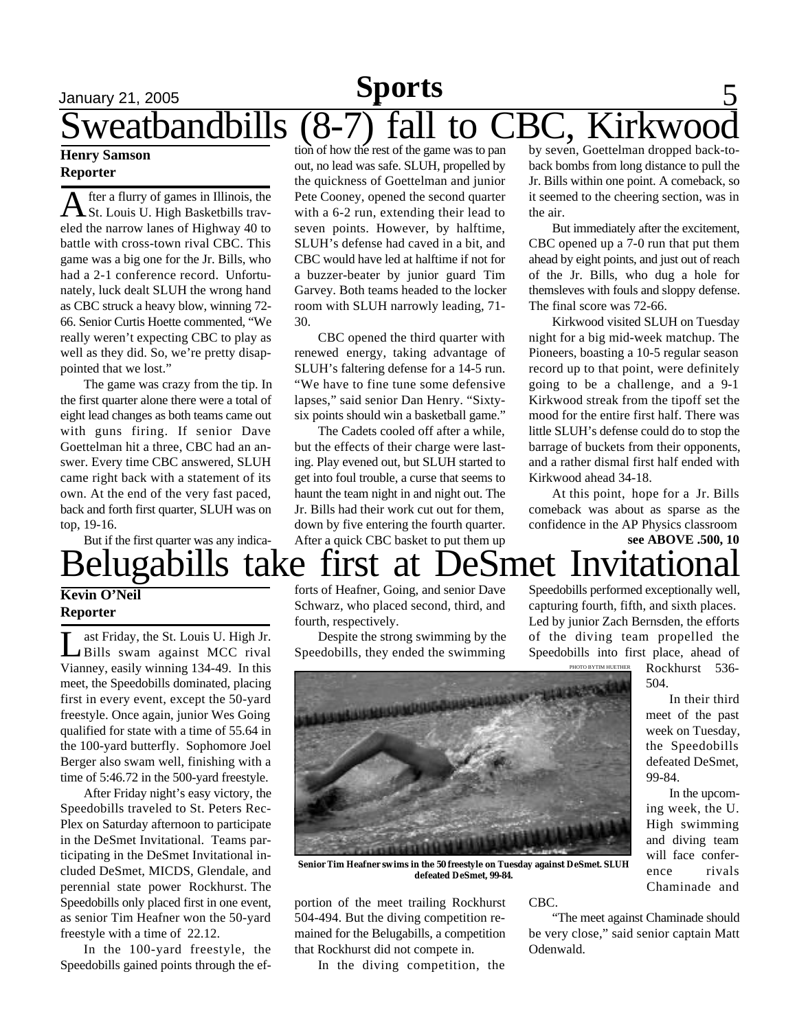### January 21, 2005 **Sports** 5 weatbandbills (8-7) fall to CBC, Kirkwoo **Sports**

#### **Henry Samson Reporter**

A fter a flurry of games in Illinois, the<br>St. Louis U. High Basketbills travfter a flurry of games in Illinois, the eled the narrow lanes of Highway 40 to battle with cross-town rival CBC. This game was a big one for the Jr. Bills, who had a 2-1 conference record. Unfortunately, luck dealt SLUH the wrong hand as CBC struck a heavy blow, winning 72- 66. Senior Curtis Hoette commented, "We really weren't expecting CBC to play as well as they did. So, we're pretty disappointed that we lost."

The game was crazy from the tip. In the first quarter alone there were a total of eight lead changes as both teams came out with guns firing. If senior Dave Goettelman hit a three, CBC had an answer. Every time CBC answered, SLUH came right back with a statement of its own. At the end of the very fast paced, back and forth first quarter, SLUH was on top, 19-16.

But if the first quarter was any indica-

tion of how the rest of the game was to pan out, no lead was safe. SLUH, propelled by the quickness of Goettelman and junior Pete Cooney, opened the second quarter with a 6-2 run, extending their lead to seven points. However, by halftime, SLUH's defense had caved in a bit, and CBC would have led at halftime if not for a buzzer-beater by junior guard Tim Garvey. Both teams headed to the locker room with SLUH narrowly leading, 71- 30.

CBC opened the third quarter with renewed energy, taking advantage of SLUH's faltering defense for a 14-5 run. "We have to fine tune some defensive lapses," said senior Dan Henry. "Sixtysix points should win a basketball game."

The Cadets cooled off after a while, but the effects of their charge were lasting. Play evened out, but SLUH started to get into foul trouble, a curse that seems to haunt the team night in and night out. The Jr. Bills had their work cut out for them, down by five entering the fourth quarter. After a quick CBC basket to put them up by seven, Goettelman dropped back-toback bombs from long distance to pull the Jr. Bills within one point. A comeback, so it seemed to the cheering section, was in the air.

But immediately after the excitement, CBC opened up a 7-0 run that put them ahead by eight points, and just out of reach of the Jr. Bills, who dug a hole for themsleves with fouls and sloppy defense. The final score was 72-66.

Kirkwood visited SLUH on Tuesday night for a big mid-week matchup. The Pioneers, boasting a 10-5 regular season record up to that point, were definitely going to be a challenge, and a 9-1 Kirkwood streak from the tipoff set the mood for the entire first half. There was little SLUH's defense could do to stop the barrage of buckets from their opponents, and a rather dismal first half ended with Kirkwood ahead 34-18.

**see ABOVE .500, 10** At this point, hope for a Jr. Bills comeback was about as sparse as the confidence in the AP Physics classroom

# Belugabills take first at DeSmet Invitational

#### **Kevin O'Neil Reporter**

Let Friday, the St. Louis U. High Jr.<br>Bills swam against MCC rival ast Friday, the St. Louis U. High Jr. Vianney, easily winning 134-49. In this meet, the Speedobills dominated, placing first in every event, except the 50-yard freestyle. Once again, junior Wes Going qualified for state with a time of 55.64 in the 100-yard butterfly. Sophomore Joel Berger also swam well, finishing with a time of 5:46.72 in the 500-yard freestyle.

After Friday night's easy victory, the Speedobills traveled to St. Peters Rec-Plex on Saturday afternoon to participate in the DeSmet Invitational. Teams participating in the DeSmet Invitational included DeSmet, MICDS, Glendale, and perennial state power Rockhurst. The Speedobills only placed first in one event, as senior Tim Heafner won the 50-yard freestyle with a time of 22.12.

In the 100-yard freestyle, the Speedobills gained points through the efforts of Heafner, Going, and senior Dave Schwarz, who placed second, third, and fourth, respectively.

Despite the strong swimming by the Speedobills, they ended the swimming

Speedobills performed exceptionally well, capturing fourth, fifth, and sixth places. Led by junior Zach Bernsden, the efforts of the diving team propelled the Speedobills into first place, ahead of Rockhurst 536-

504.

99-84.

In their third meet of the past week on Tuesday, the Speedobills defeated DeSmet,

In the upcoming week, the U. High swimming and diving team will face conference rivals Chaminade and



**Senior Tim Heafner swims in the 50 freestyle on Tuesday against DeSmet. SLUH defeated DeSmet, 99-84.**

portion of the meet trailing Rockhurst 504-494. But the diving competition remained for the Belugabills, a competition that Rockhurst did not compete in.

In the diving competition, the

CBC.

"The meet against Chaminade should be very close," said senior captain Matt Odenwald.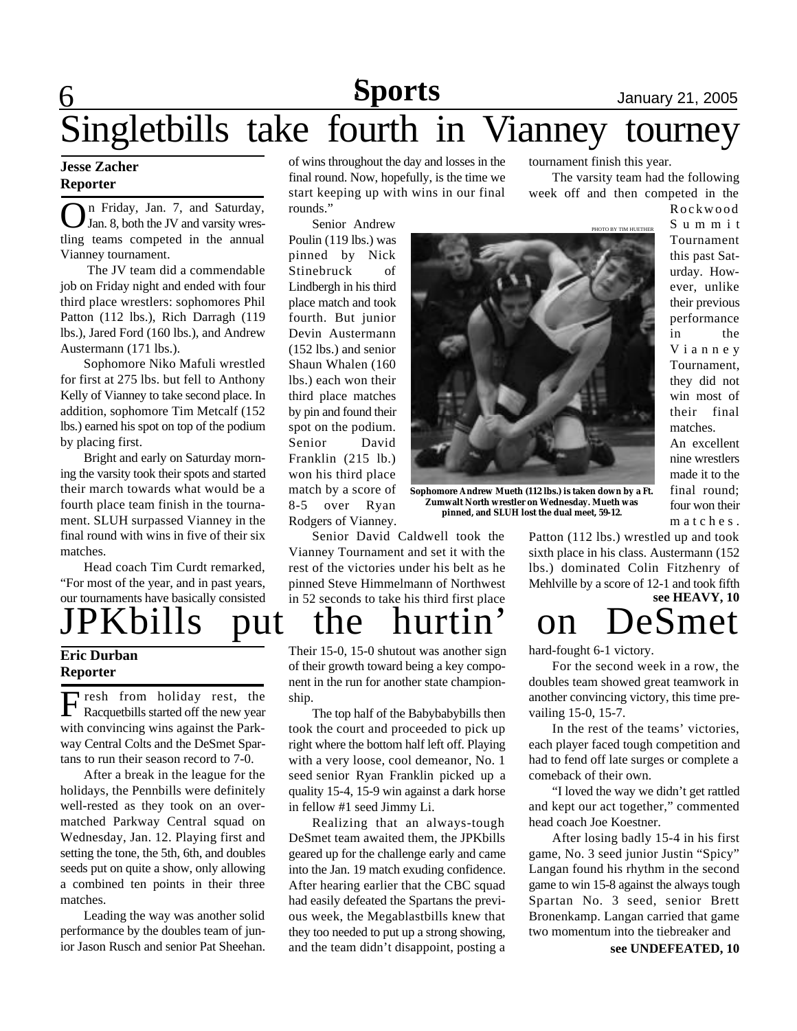# **Sports** January 21, 2005

The varsity team had the following

PHOTO BY TIM HUETHER

tournament finish this year.

## 6 Singletbills take fourth in Vianney tourney

#### **Jesse Zacher Reporter**

**O**n Friday, Jan. 7, and Saturday,<br>Jan. 8, both the JV and varsity wresn Friday, Jan. 7, and Saturday, tling teams competed in the annual Vianney tournament.

 The JV team did a commendable job on Friday night and ended with four third place wrestlers: sophomores Phil Patton (112 lbs.), Rich Darragh (119 lbs.), Jared Ford (160 lbs.), and Andrew Austermann (171 lbs.).

Sophomore Niko Mafuli wrestled for first at 275 lbs. but fell to Anthony Kelly of Vianney to take second place. In addition, sophomore Tim Metcalf (152 lbs.) earned his spot on top of the podium by placing first.

Bright and early on Saturday morning the varsity took their spots and started their march towards what would be a fourth place team finish in the tournament. SLUH surpassed Vianney in the final round with wins in five of their six matches.

Head coach Tim Curdt remarked, "For most of the year, and in past years, our tournaments have basically consisted

**Eric Durban**

### **Reporter**

F resh from holiday rest, the Racquetbills started off the new year with convincing wins against the Parkway Central Colts and the DeSmet Spartans to run their season record to 7-0.

After a break in the league for the holidays, the Pennbills were definitely well-rested as they took on an overmatched Parkway Central squad on Wednesday, Jan. 12. Playing first and setting the tone, the 5th, 6th, and doubles seeds put on quite a show, only allowing a combined ten points in their three matches.

Leading the way was another solid performance by the doubles team of junior Jason Rusch and senior Pat Sheehan.

of wins throughout the day and losses in the final round. Now, hopefully, is the time we start keeping up with wins in our final rounds."

Senior Andrew Poulin (119 lbs.) was pinned by Nick Stinebruck of Lindbergh in his third place match and took fourth. But junior Devin Austermann (152 lbs.) and senior Shaun Whalen (160 lbs.) each won their third place matches by pin and found their spot on the podium. Senior David Franklin (215 lb.) won his third place match by a score of 8-5 over Ryan Rodgers of Vianney.

**Zumwalt North wrestler on Wednesday. Mueth was pinned, and SLUH lost the dual meet, 59-12.**

week off and then competed in the Rockwood S u m m i t Tournament this past Saturday. However, unlike their previous performance in the V i a n n e y Tournament, they did not win most of their final matches.

> An excellent nine wrestlers made it to the final round; four won their m a t c h e s.

Patton (112 lbs.) wrestled up and took sixth place in his class. Austermann (152 lbs.) dominated Colin Fitzhenry of Mehlville by a score of 12-1 and took fifth

### put the hurtin' on DeSmet **see HEAVY, 10**

hard-fought 6-1 victory.

For the second week in a row, the doubles team showed great teamwork in another convincing victory, this time prevailing 15-0, 15-7.

In the rest of the teams' victories, each player faced tough competition and had to fend off late surges or complete a comeback of their own.

"I loved the way we didn't get rattled and kept our act together," commented head coach Joe Koestner.

After losing badly 15-4 in his first game, No. 3 seed junior Justin "Spicy" Langan found his rhythm in the second game to win 15-8 against the always tough Spartan No. 3 seed, senior Brett Bronenkamp. Langan carried that game two momentum into the tiebreaker and

**see UNDEFEATED, 10**

**Sophomore Andrew Mueth (112 lbs.) is taken down by a Ft.**



Their 15-0, 15-0 shutout was another sign

of their growth toward being a key component in the run for another state championship.

The top half of the Babybabybills then took the court and proceeded to pick up right where the bottom half left off. Playing with a very loose, cool demeanor, No. 1 seed senior Ryan Franklin picked up a quality 15-4, 15-9 win against a dark horse in fellow #1 seed Jimmy Li.

Realizing that an always-tough DeSmet team awaited them, the JPKbills geared up for the challenge early and came into the Jan. 19 match exuding confidence. After hearing earlier that the CBC squad had easily defeated the Spartans the previous week, the Megablastbills knew that they too needed to put up a strong showing, and the team didn't disappoint, posting a

rest of the victories under his belt as he pinned Steve Himmelmann of Northwest in 52 seconds to take his third first place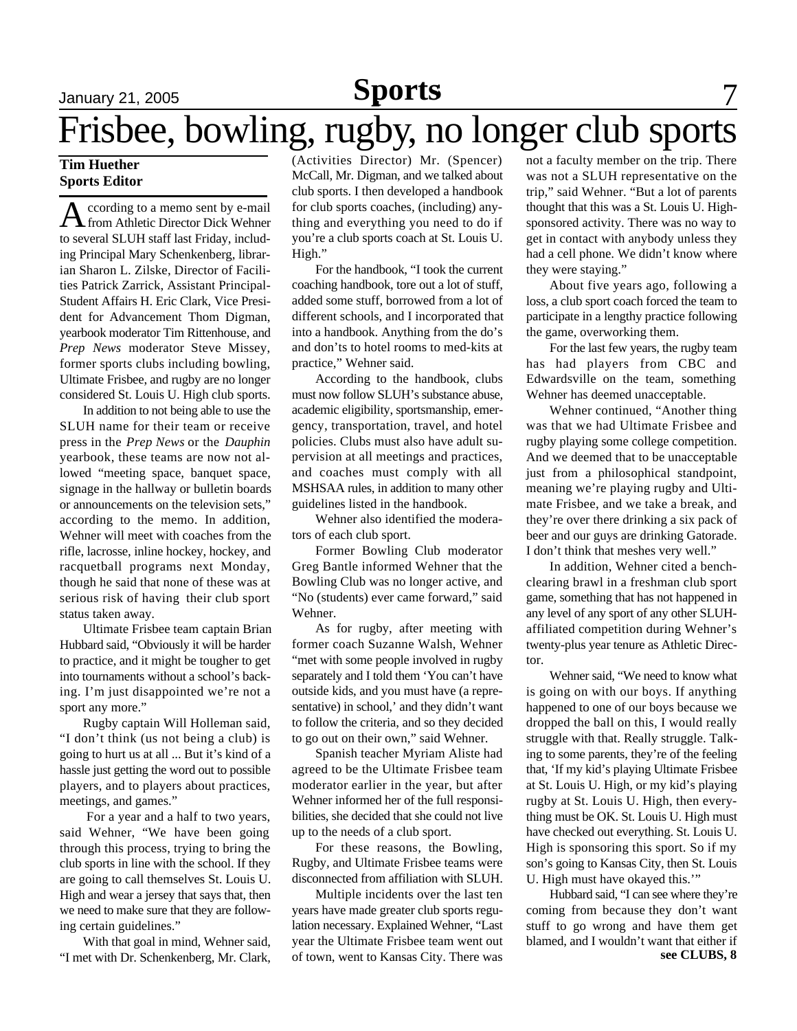# January 21, 2005 **Sports** 7

# Frisbee, bowling, rugby, no longer club sports

#### **Tim Huether Sports Editor**

A ccording to a memo sent by e-mail<br>
from Athletic Director Dick Wehner ccording to a memo sent by e-mail to several SLUH staff last Friday, including Principal Mary Schenkenberg, librarian Sharon L. Zilske, Director of Facilities Patrick Zarrick, Assistant Principal-Student Affairs H. Eric Clark, Vice President for Advancement Thom Digman, yearbook moderator Tim Rittenhouse, and *Prep News* moderator Steve Missey, former sports clubs including bowling, Ultimate Frisbee, and rugby are no longer considered St. Louis U. High club sports.

In addition to not being able to use the SLUH name for their team or receive press in the *Prep News* or the *Dauphin* yearbook, these teams are now not allowed "meeting space, banquet space, signage in the hallway or bulletin boards or announcements on the television sets," according to the memo. In addition, Wehner will meet with coaches from the rifle, lacrosse, inline hockey, hockey, and racquetball programs next Monday, though he said that none of these was at serious risk of having their club sport status taken away.

Ultimate Frisbee team captain Brian Hubbard said, "Obviously it will be harder to practice, and it might be tougher to get into tournaments without a school's backing. I'm just disappointed we're not a sport any more."

Rugby captain Will Holleman said, "I don't think (us not being a club) is going to hurt us at all ... But it's kind of a hassle just getting the word out to possible players, and to players about practices, meetings, and games."

 For a year and a half to two years, said Wehner, "We have been going through this process, trying to bring the club sports in line with the school. If they are going to call themselves St. Louis U. High and wear a jersey that says that, then we need to make sure that they are following certain guidelines."

With that goal in mind, Wehner said, "I met with Dr. Schenkenberg, Mr. Clark, (Activities Director) Mr. (Spencer) McCall, Mr. Digman, and we talked about club sports. I then developed a handbook for club sports coaches, (including) anything and everything you need to do if you're a club sports coach at St. Louis U. High."

For the handbook, "I took the current coaching handbook, tore out a lot of stuff, added some stuff, borrowed from a lot of different schools, and I incorporated that into a handbook. Anything from the do's and don'ts to hotel rooms to med-kits at practice," Wehner said.

According to the handbook, clubs must now follow SLUH's substance abuse, academic eligibility, sportsmanship, emergency, transportation, travel, and hotel policies. Clubs must also have adult supervision at all meetings and practices, and coaches must comply with all MSHSAA rules, in addition to many other guidelines listed in the handbook.

Wehner also identified the moderators of each club sport.

Former Bowling Club moderator Greg Bantle informed Wehner that the Bowling Club was no longer active, and "No (students) ever came forward," said Wehner.

As for rugby, after meeting with former coach Suzanne Walsh, Wehner "met with some people involved in rugby separately and I told them 'You can't have outside kids, and you must have (a representative) in school,' and they didn't want to follow the criteria, and so they decided to go out on their own," said Wehner.

Spanish teacher Myriam Aliste had agreed to be the Ultimate Frisbee team moderator earlier in the year, but after Wehner informed her of the full responsibilities, she decided that she could not live up to the needs of a club sport.

For these reasons, the Bowling, Rugby, and Ultimate Frisbee teams were disconnected from affiliation with SLUH.

Multiple incidents over the last ten years have made greater club sports regulation necessary. Explained Wehner, "Last year the Ultimate Frisbee team went out of town, went to Kansas City. There was not a faculty member on the trip. There was not a SLUH representative on the trip," said Wehner. "But a lot of parents thought that this was a St. Louis U. Highsponsored activity. There was no way to get in contact with anybody unless they had a cell phone. We didn't know where they were staying."

About five years ago, following a loss, a club sport coach forced the team to participate in a lengthy practice following the game, overworking them.

For the last few years, the rugby team has had players from CBC and Edwardsville on the team, something Wehner has deemed unacceptable.

Wehner continued, "Another thing was that we had Ultimate Frisbee and rugby playing some college competition. And we deemed that to be unacceptable just from a philosophical standpoint, meaning we're playing rugby and Ultimate Frisbee, and we take a break, and they're over there drinking a six pack of beer and our guys are drinking Gatorade. I don't think that meshes very well."

In addition, Wehner cited a benchclearing brawl in a freshman club sport game, something that has not happened in any level of any sport of any other SLUHaffiliated competition during Wehner's twenty-plus year tenure as Athletic Director.

Wehner said, "We need to know what is going on with our boys. If anything happened to one of our boys because we dropped the ball on this, I would really struggle with that. Really struggle. Talking to some parents, they're of the feeling that, 'If my kid's playing Ultimate Frisbee at St. Louis U. High, or my kid's playing rugby at St. Louis U. High, then everything must be OK. St. Louis U. High must have checked out everything. St. Louis U. High is sponsoring this sport. So if my son's going to Kansas City, then St. Louis U. High must have okayed this.'"

**see CLUBS, 8** Hubbard said, "I can see where they're coming from because they don't want stuff to go wrong and have them get blamed, and I wouldn't want that either if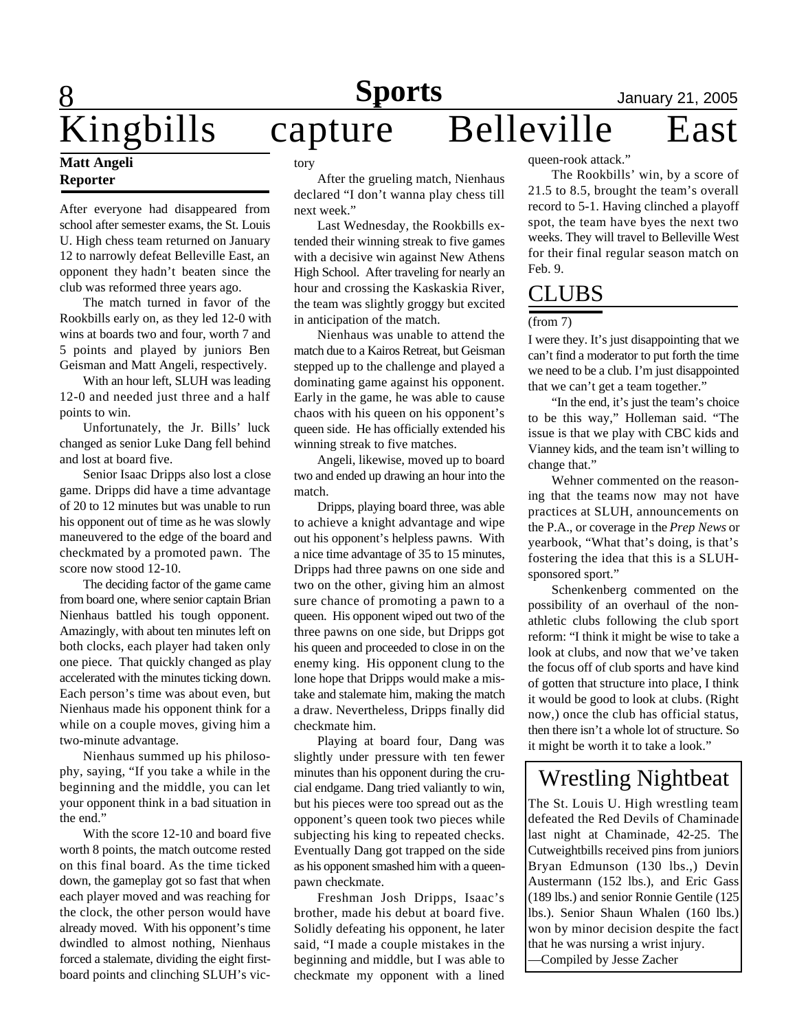## 8 Kingbills capture Belleville East

#### **Matt Angeli Reporter**

After everyone had disappeared from school after semester exams, the St. Louis U. High chess team returned on January 12 to narrowly defeat Belleville East, an opponent they hadn't beaten since the club was reformed three years ago.

The match turned in favor of the Rookbills early on, as they led 12-0 with wins at boards two and four, worth 7 and 5 points and played by juniors Ben Geisman and Matt Angeli, respectively.

With an hour left, SLUH was leading 12-0 and needed just three and a half points to win.

Unfortunately, the Jr. Bills' luck changed as senior Luke Dang fell behind and lost at board five.

Senior Isaac Dripps also lost a close game. Dripps did have a time advantage of 20 to 12 minutes but was unable to run his opponent out of time as he was slowly maneuvered to the edge of the board and checkmated by a promoted pawn. The score now stood 12-10.

The deciding factor of the game came from board one, where senior captain Brian Nienhaus battled his tough opponent. Amazingly, with about ten minutes left on both clocks, each player had taken only one piece. That quickly changed as play accelerated with the minutes ticking down. Each person's time was about even, but Nienhaus made his opponent think for a while on a couple moves, giving him a two-minute advantage.

Nienhaus summed up his philosophy, saying, "If you take a while in the beginning and the middle, you can let your opponent think in a bad situation in the end."

With the score 12-10 and board five worth 8 points, the match outcome rested on this final board. As the time ticked down, the gameplay got so fast that when each player moved and was reaching for the clock, the other person would have already moved. With his opponent's time dwindled to almost nothing, Nienhaus forced a stalemate, dividing the eight firstboard points and clinching SLUH's victory

After the grueling match, Nienhaus declared "I don't wanna play chess till next week."

Last Wednesday, the Rookbills extended their winning streak to five games with a decisive win against New Athens High School. After traveling for nearly an hour and crossing the Kaskaskia River, the team was slightly groggy but excited in anticipation of the match.

Nienhaus was unable to attend the match due to a Kairos Retreat, but Geisman stepped up to the challenge and played a dominating game against his opponent. Early in the game, he was able to cause chaos with his queen on his opponent's queen side. He has officially extended his winning streak to five matches.

Angeli, likewise, moved up to board two and ended up drawing an hour into the match.

Dripps, playing board three, was able to achieve a knight advantage and wipe out his opponent's helpless pawns. With a nice time advantage of 35 to 15 minutes, Dripps had three pawns on one side and two on the other, giving him an almost sure chance of promoting a pawn to a queen. His opponent wiped out two of the three pawns on one side, but Dripps got his queen and proceeded to close in on the enemy king. His opponent clung to the lone hope that Dripps would make a mistake and stalemate him, making the match a draw. Nevertheless, Dripps finally did checkmate him.

Playing at board four, Dang was slightly under pressure with ten fewer minutes than his opponent during the crucial endgame. Dang tried valiantly to win, but his pieces were too spread out as the opponent's queen took two pieces while subjecting his king to repeated checks. Eventually Dang got trapped on the side as his opponent smashed him with a queenpawn checkmate.

Freshman Josh Dripps, Isaac's brother, made his debut at board five. Solidly defeating his opponent, he later said, "I made a couple mistakes in the beginning and middle, but I was able to checkmate my opponent with a lined

queen-rook attack."

The Rookbills' win, by a score of 21.5 to 8.5, brought the team's overall record to 5-1. Having clinched a playoff spot, the team have byes the next two weeks. They will travel to Belleville West for their final regular season match on Feb. 9.

## CLUBS

#### (from 7)

I were they. It's just disappointing that we can't find a moderator to put forth the time we need to be a club. I'm just disappointed that we can't get a team together."

"In the end, it's just the team's choice to be this way," Holleman said. "The issue is that we play with CBC kids and Vianney kids, and the team isn't willing to change that."

Wehner commented on the reasoning that the teams now may not have practices at SLUH, announcements on the P.A., or coverage in the *Prep News* or yearbook, "What that's doing, is that's fostering the idea that this is a SLUHsponsored sport."

Schenkenberg commented on the possibility of an overhaul of the nonathletic clubs following the club sport reform: "I think it might be wise to take a look at clubs, and now that we've taken the focus off of club sports and have kind of gotten that structure into place, I think it would be good to look at clubs. (Right now,) once the club has official status, then there isn't a whole lot of structure. So it might be worth it to take a look."

### Wrestling Nightbeat

The St. Louis U. High wrestling team defeated the Red Devils of Chaminade last night at Chaminade, 42-25. The Cutweightbills received pins from juniors Bryan Edmunson (130 lbs.,) Devin Austermann (152 lbs.), and Eric Gass (189 lbs.) and senior Ronnie Gentile (125 lbs.). Senior Shaun Whalen (160 lbs.) won by minor decision despite the fact that he was nursing a wrist injury. —Compiled by Jesse Zacher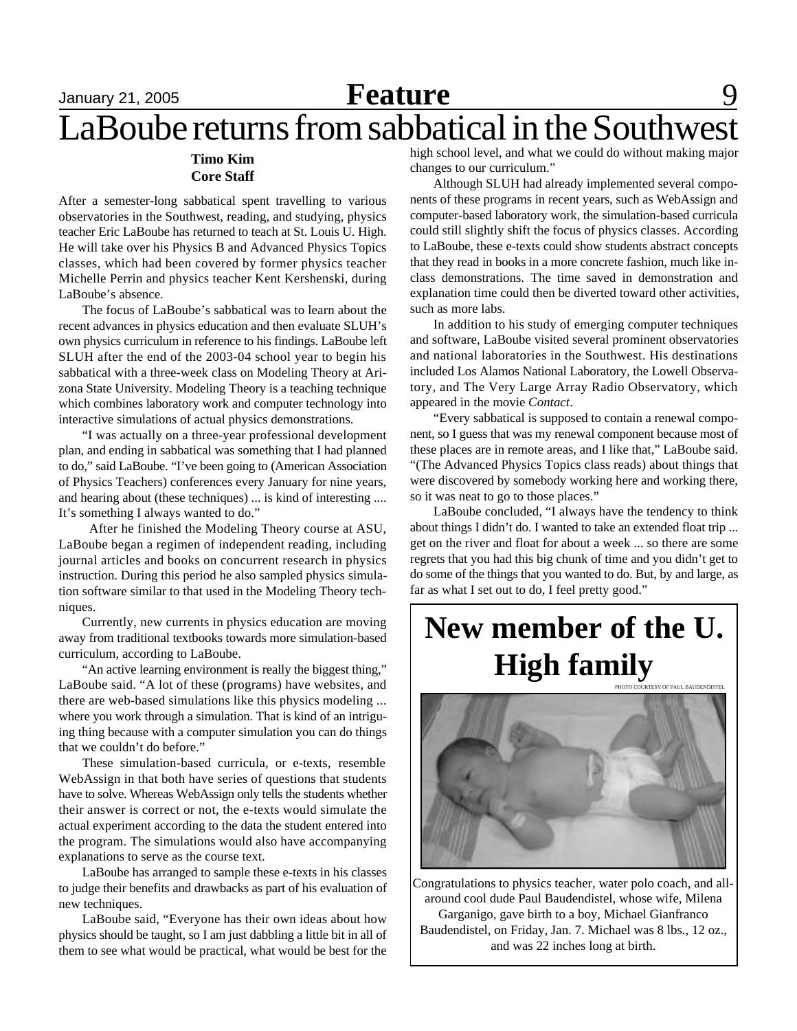#### **Timo Kim Core Staff**

After a semester-long sabbatical spent travelling to various observatories in the Southwest, reading, and studying, physics teacher Eric LaBoube has returned to teach at St. Louis U. High. He will take over his Physics B and Advanced Physics Topics classes, which had been covered by former physics teacher Michelle Perrin and physics teacher Kent Kershenski, during LaBoube's absence.

The focus of LaBoube's sabbatical was to learn about the recent advances in physics education and then evaluate SLUH's own physics curriculum in reference to his findings. LaBoube left SLUH after the end of the 2003-04 school year to begin his sabbatical with a three-week class on Modeling Theory at Arizona State University. Modeling Theory is a teaching technique which combines laboratory work and computer technology into interactive simulations of actual physics demonstrations.

"I was actually on a three-year professional development plan, and ending in sabbatical was something that I had planned to do," said LaBoube. "I've been going to (American Association of Physics Teachers) conferences every January for nine years, and hearing about (these techniques) ... is kind of interesting .... It's something I always wanted to do."

 After he finished the Modeling Theory course at ASU, LaBoube began a regimen of independent reading, including journal articles and books on concurrent research in physics instruction. During this period he also sampled physics simulation software similar to that used in the Modeling Theory techniques.

Currently, new currents in physics education are moving away from traditional textbooks towards more simulation-based curriculum, according to LaBoube.

"An active learning environment is really the biggest thing," LaBoube said. "A lot of these (programs) have websites, and there are web-based simulations like this physics modeling ... where you work through a simulation. That is kind of an intriguing thing because with a computer simulation you can do things that we couldn't do before."

These simulation-based curricula, or e-texts, resemble WebAssign in that both have series of questions that students have to solve. Whereas WebAssign only tells the students whether their answer is correct or not, the e-texts would simulate the actual experiment according to the data the student entered into the program. The simulations would also have accompanying explanations to serve as the course text.

LaBoube has arranged to sample these e-texts in his classes to judge their benefits and drawbacks as part of his evaluation of new techniques.

LaBoube said, "Everyone has their own ideas about how physics should be taught, so I am just dabbling a little bit in all of them to see what would be practical, what would be best for the

high school level, and what we could do without making major changes to our curriculum."

Although SLUH had already implemented several components of these programs in recent years, such as WebAssign and computer-based laboratory work, the simulation-based curricula could still slightly shift the focus of physics classes. According to LaBoube, these e-texts could show students abstract concepts that they read in books in a more concrete fashion, much like inclass demonstrations. The time saved in demonstration and explanation time could then be diverted toward other activities, such as more labs.

In addition to his study of emerging computer techniques and software, LaBoube visited several prominent observatories and national laboratories in the Southwest. His destinations included Los Alamos National Laboratory, the Lowell Observatory, and The Very Large Array Radio Observatory, which appeared in the movie *Contact*.

"Every sabbatical is supposed to contain a renewal component, so I guess that was my renewal component because most of these places are in remote areas, and I like that," LaBoube said. "(The Advanced Physics Topics class reads) about things that were discovered by somebody working here and working there, so it was neat to go to those places."

LaBoube concluded, "I always have the tendency to think about things I didn't do. I wanted to take an extended float trip ... get on the river and float for about a week ... so there are some regrets that you had this big chunk of time and you didn't get to do some of the things that you wanted to do. But, by and large, as far as what I set out to do, I feel pretty good."

### **New member of the U. High family** PHOTO COURTESY OF PAUL BAUDENDISTE



Congratulations to physics teacher, water polo coach, and allaround cool dude Paul Baudendistel, whose wife, Milena

Garganigo, gave birth to a boy, Michael Gianfranco Baudendistel, on Friday, Jan. 7. Michael was 8 lbs., 12 oz., and was 22 inches long at birth.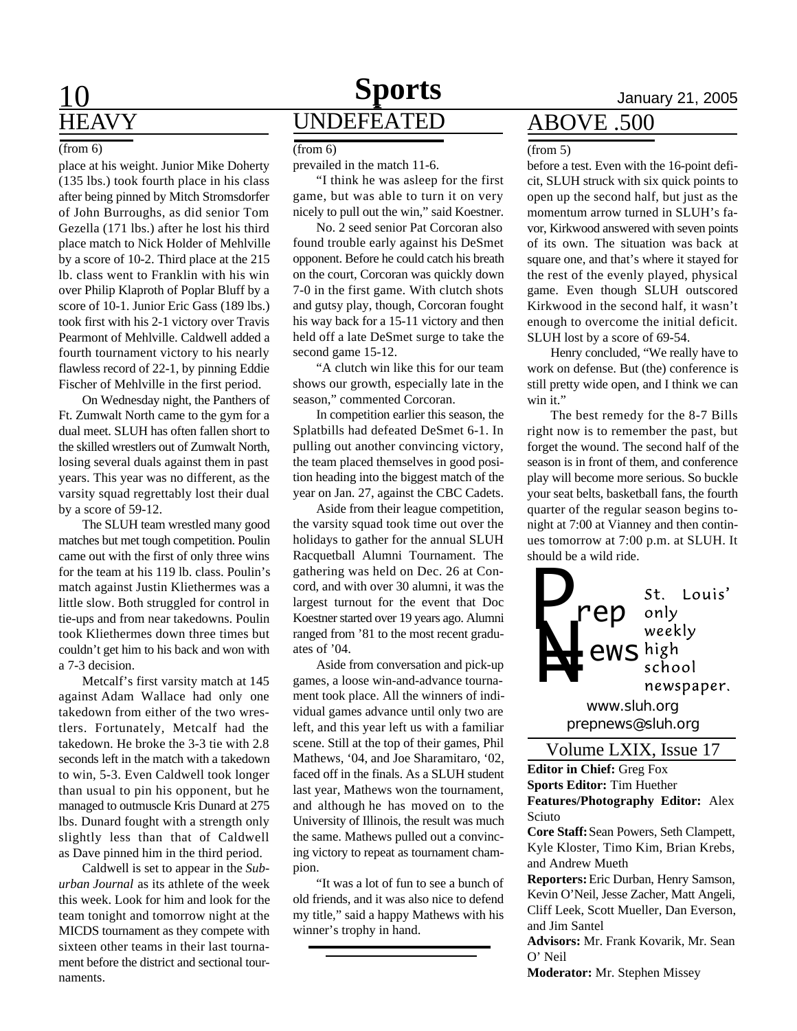# **HEAVY**

#### $(from 6)$  (from 6) (from 5)

place at his weight. Junior Mike Doherty (135 lbs.) took fourth place in his class after being pinned by Mitch Stromsdorfer of John Burroughs, as did senior Tom Gezella (171 lbs.) after he lost his third place match to Nick Holder of Mehlville by a score of 10-2. Third place at the 215 lb. class went to Franklin with his win over Philip Klaproth of Poplar Bluff by a score of 10-1. Junior Eric Gass (189 lbs.) took first with his 2-1 victory over Travis Pearmont of Mehlville. Caldwell added a fourth tournament victory to his nearly flawless record of 22-1, by pinning Eddie Fischer of Mehlville in the first period.

On Wednesday night, the Panthers of Ft. Zumwalt North came to the gym for a dual meet. SLUH has often fallen short to the skilled wrestlers out of Zumwalt North, losing several duals against them in past years. This year was no different, as the varsity squad regrettably lost their dual by a score of 59-12.

The SLUH team wrestled many good matches but met tough competition. Poulin came out with the first of only three wins for the team at his 119 lb. class. Poulin's match against Justin Kliethermes was a little slow. Both struggled for control in tie-ups and from near takedowns. Poulin took Kliethermes down three times but couldn't get him to his back and won with a 7-3 decision.

Metcalf's first varsity match at 145 against Adam Wallace had only one takedown from either of the two wrestlers. Fortunately, Metcalf had the takedown. He broke the 3-3 tie with 2.8 seconds left in the match with a takedown to win, 5-3. Even Caldwell took longer than usual to pin his opponent, but he managed to outmuscle Kris Dunard at 275 lbs. Dunard fought with a strength only slightly less than that of Caldwell as Dave pinned him in the third period.

Caldwell is set to appear in the *Suburban Journal* as its athlete of the week this week. Look for him and look for the team tonight and tomorrow night at the MICDS tournament as they compete with sixteen other teams in their last tournament before the district and sectional tournaments.

## 10 **Sports** January 21, 2005 UNDEFEATED

prevailed in the match 11-6.

"I think he was asleep for the first game, but was able to turn it on very nicely to pull out the win," said Koestner.

No. 2 seed senior Pat Corcoran also found trouble early against his DeSmet opponent. Before he could catch his breath on the court, Corcoran was quickly down 7-0 in the first game. With clutch shots and gutsy play, though, Corcoran fought his way back for a 15-11 victory and then held off a late DeSmet surge to take the second game 15-12.

"A clutch win like this for our team shows our growth, especially late in the season," commented Corcoran.

In competition earlier this season, the Splatbills had defeated DeSmet 6-1. In pulling out another convincing victory, the team placed themselves in good position heading into the biggest match of the year on Jan. 27, against the CBC Cadets.

Aside from their league competition, the varsity squad took time out over the holidays to gather for the annual SLUH Racquetball Alumni Tournament. The gathering was held on Dec. 26 at Concord, and with over 30 alumni, it was the largest turnout for the event that Doc Koestner started over 19 years ago. Alumni ranged from '81 to the most recent graduates of '04.

Aside from conversation and pick-up games, a loose win-and-advance tournament took place. All the winners of individual games advance until only two are left, and this year left us with a familiar scene. Still at the top of their games, Phil Mathews, '04, and Joe Sharamitaro, '02, faced off in the finals. As a SLUH student last year, Mathews won the tournament, and although he has moved on to the University of Illinois, the result was much the same. Mathews pulled out a convincing victory to repeat as tournament champion.

"It was a lot of fun to see a bunch of old friends, and it was also nice to defend my title," said a happy Mathews with his winner's trophy in hand.

### ABOVE .500

before a test. Even with the 16-point deficit, SLUH struck with six quick points to open up the second half, but just as the momentum arrow turned in SLUH's favor, Kirkwood answered with seven points of its own. The situation was back at square one, and that's where it stayed for the rest of the evenly played, physical game. Even though SLUH outscored Kirkwood in the second half, it wasn't enough to overcome the initial deficit. SLUH lost by a score of 69-54.

Henry concluded, "We really have to work on defense. But (the) conference is still pretty wide open, and I think we can win it."

The best remedy for the 8-7 Bills right now is to remember the past, but forget the wound. The second half of the season is in front of them, and conference play will become more serious. So buckle your seat belts, basketball fans, the fourth quarter of the regular season begins tonight at 7:00 at Vianney and then continues tomorrow at 7:00 p.m. at SLUH. It should be a wild ride.



**Editor in Chief:** Greg Fox **Sports Editor:** Tim Huether **Features/Photography Editor:** Alex Sciuto

**Core Staff:** Sean Powers, Seth Clampett, Kyle Kloster, Timo Kim, Brian Krebs, and Andrew Mueth

**Reporters:** Eric Durban, Henry Samson, Kevin O'Neil, Jesse Zacher, Matt Angeli, Cliff Leek, Scott Mueller, Dan Everson, and Jim Santel

**Advisors:** Mr. Frank Kovarik, Mr. Sean O' Neil

**Moderator:** Mr. Stephen Missey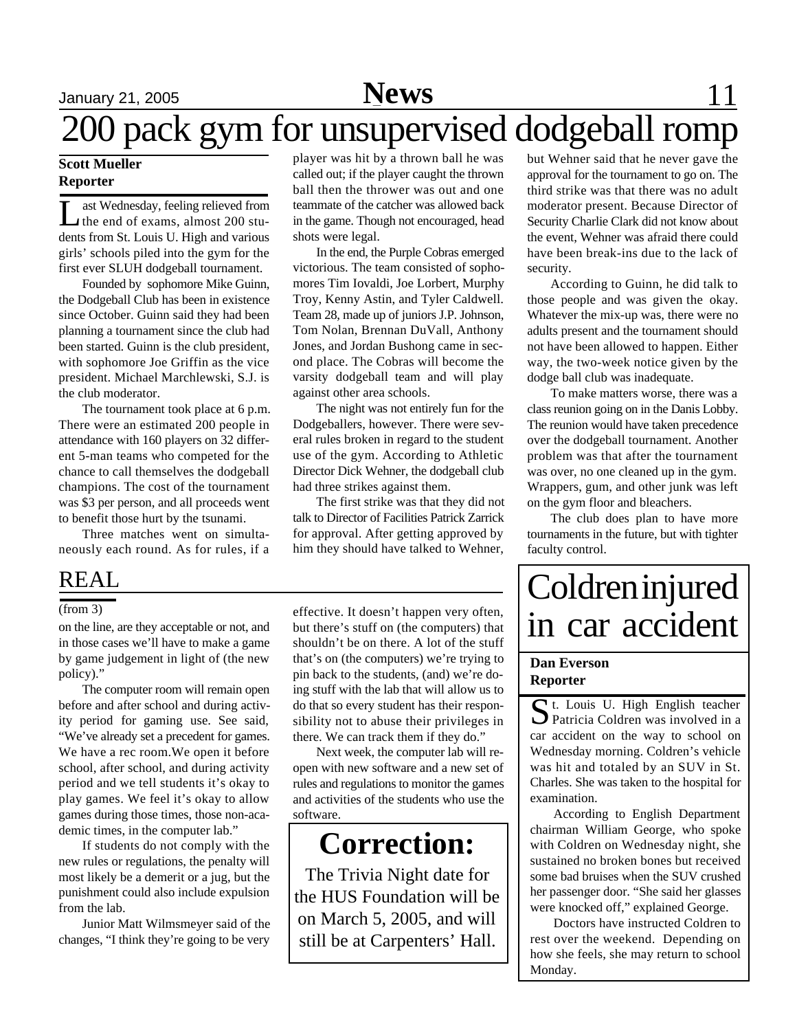# 200 pack gym for unsupervised dodgeball romp

#### **Scott Mueller Reporter**

L ast Wednesday, feeling relieved from the end of exams, almost 200 students from St. Louis U. High and various girls' schools piled into the gym for the first ever SLUH dodgeball tournament.

Founded by sophomore Mike Guinn, the Dodgeball Club has been in existence since October. Guinn said they had been planning a tournament since the club had been started. Guinn is the club president, with sophomore Joe Griffin as the vice president. Michael Marchlewski, S.J. is the club moderator.

The tournament took place at 6 p.m. There were an estimated 200 people in attendance with 160 players on 32 different 5-man teams who competed for the chance to call themselves the dodgeball champions. The cost of the tournament was \$3 per person, and all proceeds went to benefit those hurt by the tsunami.

Three matches went on simultaneously each round. As for rules, if a

### REAL

#### (from 3)

on the line, are they acceptable or not, and in those cases we'll have to make a game by game judgement in light of (the new policy)."

The computer room will remain open before and after school and during activity period for gaming use. See said, "We've already set a precedent for games. We have a rec room.We open it before school, after school, and during activity period and we tell students it's okay to play games. We feel it's okay to allow games during those times, those non-academic times, in the computer lab."

If students do not comply with the new rules or regulations, the penalty will most likely be a demerit or a jug, but the punishment could also include expulsion from the lab.

Junior Matt Wilmsmeyer said of the changes, "I think they're going to be very player was hit by a thrown ball he was called out; if the player caught the thrown ball then the thrower was out and one teammate of the catcher was allowed back in the game. Though not encouraged, head shots were legal.

In the end, the Purple Cobras emerged victorious. The team consisted of sophomores Tim Iovaldi, Joe Lorbert, Murphy Troy, Kenny Astin, and Tyler Caldwell. Team 28, made up of juniors J.P. Johnson, Tom Nolan, Brennan DuVall, Anthony Jones, and Jordan Bushong came in second place. The Cobras will become the varsity dodgeball team and will play against other area schools.

The night was not entirely fun for the Dodgeballers, however. There were several rules broken in regard to the student use of the gym. According to Athletic Director Dick Wehner, the dodgeball club had three strikes against them.

The first strike was that they did not talk to Director of Facilities Patrick Zarrick for approval. After getting approved by him they should have talked to Wehner,

effective. It doesn't happen very often, but there's stuff on (the computers) that shouldn't be on there. A lot of the stuff that's on (the computers) we're trying to pin back to the students, (and) we're doing stuff with the lab that will allow us to do that so every student has their responsibility not to abuse their privileges in there. We can track them if they do."

Next week, the computer lab will reopen with new software and a new set of rules and regulations to monitor the games and activities of the students who use the software.

## **Correction:**

The Trivia Night date for the HUS Foundation will be on March 5, 2005, and will still be at Carpenters' Hall.

but Wehner said that he never gave the approval for the tournament to go on. The third strike was that there was no adult moderator present. Because Director of Security Charlie Clark did not know about the event, Wehner was afraid there could have been break-ins due to the lack of security.

According to Guinn, he did talk to those people and was given the okay. Whatever the mix-up was, there were no adults present and the tournament should not have been allowed to happen. Either way, the two-week notice given by the dodge ball club was inadequate.

To make matters worse, there was a class reunion going on in the Danis Lobby. The reunion would have taken precedence over the dodgeball tournament. Another problem was that after the tournament was over, no one cleaned up in the gym. Wrappers, gum, and other junk was left on the gym floor and bleachers.

The club does plan to have more tournaments in the future, but with tighter faculty control.

# **Coldren injured** in car accident

#### **Dan Everson Reporter**

St. Louis U. High English teacher<br>Patricia Coldren was involved in a Patricia Coldren was involved in a car accident on the way to school on Wednesday morning. Coldren's vehicle was hit and totaled by an SUV in St. Charles. She was taken to the hospital for examination.

According to English Department chairman William George, who spoke with Coldren on Wednesday night, she sustained no broken bones but received some bad bruises when the SUV crushed her passenger door. "She said her glasses were knocked off," explained George.

Doctors have instructed Coldren to rest over the weekend. Depending on how she feels, she may return to school Monday.